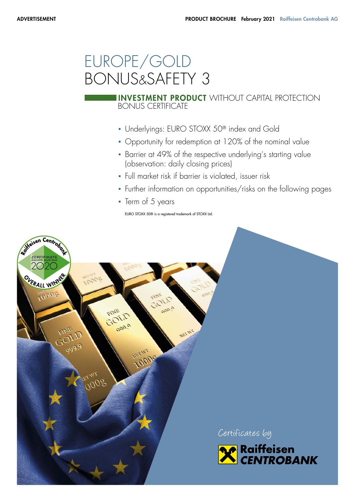# EUROPE/GOLD BONUS&SAFETY 3

# BONUS CERTIFICATE **INVESTMENT PRODUCT** WITHOUT CAPITAL PROTECTION

- Underlyings: EURO STOXX 50<sup>®</sup> index and Gold
- Opportunity for redemption at 120% of the nominal value
- Barrier at 49% of the respective underlying's starting value (observation: daily closing prices)
- Full market risk if barrier is violated, issuer risk
- Further information on opportunities/risks on the following pages
- Term of 5 years

EURO STOXX 50® is a registered trademark of STOXX Ltd.

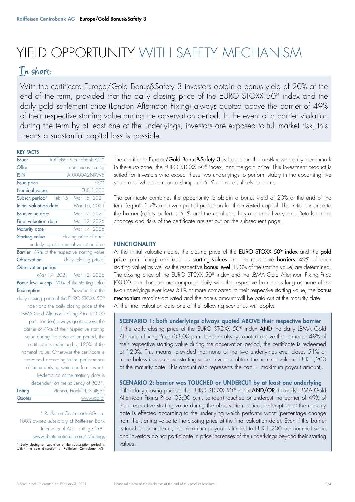# YIELD OPPORTUNITY WITH SAFETY MECHANISM

# In short:

With the certificate Europe/Gold Bonus&Safety 3 investors obtain a bonus yield of 20% at the end of the term, provided that the daily closing price of the EURO STOXX 50® index and the daily gold settlement price (London Afternoon Fixing) always quoted above the barrier of 49% of their respective starting value during the observation period. In the event of a barrier violation during the term by at least one of the underlyings, investors are exposed to full market risk; this means a substantial capital loss is possible.

#### KEY FACTS

| Issuer                        | Raiffeisen Centrobank AG*                           |  |  |
|-------------------------------|-----------------------------------------------------|--|--|
| Offer                         | continuous issuing                                  |  |  |
| <b>ISIN</b>                   | AT0000A2NXW5                                        |  |  |
| <b>Issue price</b>            | 100%                                                |  |  |
| Nominal value                 | <b>EUR 1,000</b>                                    |  |  |
|                               | Subscr. period <sup>1</sup> Feb 15 - Mar 15, 2021   |  |  |
| <b>Initial</b> valuation date | Mar 16, 2021                                        |  |  |
| <b>Issue value date</b>       | Mar 17, 2021                                        |  |  |
| <b>Final valuation date</b>   | Mar 12, 2026                                        |  |  |
| Maturity date                 | Mar 17, 2026                                        |  |  |
| <b>Starting value</b>         | closing price of each                               |  |  |
|                               | underlying at the initial valuation date            |  |  |
|                               | Barrier 49% of the respective starting value        |  |  |
| Observation                   | daily (closing prices)                              |  |  |
| Observation period            |                                                     |  |  |
|                               | Mar 17, 2021 - Mar 12, 2026                         |  |  |
|                               |                                                     |  |  |
|                               | <b>Bonus level = cap</b> 120% of the starting value |  |  |
| Redemption                    | Provided that the                                   |  |  |
|                               | daily closing price of the EURO STOXX 50®           |  |  |
|                               | index and the daily closing price of the            |  |  |
|                               | LBMA Gold Afternoon Fixing Price (03:00             |  |  |
|                               | p.m. London) always quote above the                 |  |  |
|                               | barrier of 49% of their respective starting         |  |  |
|                               | value during the observation period, the            |  |  |
|                               | certificate is redeemed at 120% of the              |  |  |
|                               | nominal value. Otherwise the certificate is         |  |  |
|                               | redeemed according to the performance               |  |  |
|                               | of the underlying which performs worst.             |  |  |
|                               | Redemption at the maturity date is                  |  |  |
|                               | dependent on the solvency of RCB*.                  |  |  |
| Listing                       | Vienna, Frankfurt, Stuttgart                        |  |  |

\* Raiffeisen Centrobank AG is a 100% owned subsidiary of Raiffeisen Bank International AG – rating of RBI: www.rbinternational.com/ir/ratings

1 Early closing or extension of the subscription period is within the sole discretion of Raiffeisen Centrobank AG.

The certificate Europe/Gold Bonus&Safety 3 is based on the best-known equity benchmark in the euro zone, the EURO STOXX 50® index, and the gold price. This investment product is suited for investors who expect these two underlyings to perform stably in the upcoming five years and who deem price slumps of 51% or more unlikely to occur.

The certificate combines the opportunity to obtain a bonus yield of 20% at the end of the term (equals 3.7% p.a.) with partial protection for the invested capital. The initial distance to the barrier (safety buffer) is 51% and the certificate has a term of five years. Details on the chances and risks of the certificate are set out on the subsequent page.

# **FUNCTIONALITY**

At the initial valuation date, the closing price of the EURO STOXX 50<sup>®</sup> index and the gold price (p.m. fixing) are fixed as starting values and the respective barriers (49% of each starting value) as well as the respective **bonus level** (120% of the starting value) are determined. The closing price of the EURO STOXX 50® index and the LBMA Gold Afternoon Fixing Price (03:00 p.m. London) are compared daily with the respective barrier: as long as none of the two underlyings ever loses 51% or more compared to their respective starting value, the **bonus** mechanism remains activated and the bonus amount will be paid out at the maturity date. At the final valuation date one of the following scenarios will apply:

### SCENARIO 1: both underlyings always quoted ABOVE their respective barrier

If the daily closing price of the EURO STOXX 50® index AND the daily LBMA Gold Afternoon Fixing Price (03:00 p.m. London) always quoted above the barrier of 49% of their respective starting value during the observation period, the certificate is redeemed at 120%. This means, provided that none of the two underlyings ever closes 51% or more below its respective starting value, investors obtain the nominal value of EUR 1,200 at the maturity date. This amount also represents the cap (= maximum payout amount).

# SCENARIO 2: barrier was TOUCHED or UNDERCUT by at least one underlying

If the daily closing price of the EURO STOXX 50<sup>®</sup> index **AND/OR** the daily LBMA Gold Afternoon Fixing Price (03:00 p.m. London) touched or undercut the barrier of 49% of their respective starting value during the observation period, redemption at the maturity date is effected according to the underlying which performs worst (percentage change from the starting value to the closing price at the final valuation date). Even if the barrier is touched or undercut, the maximum payout is limited to EUR 1,200 per nominal value and investors do not participate in price increases of the underlyings beyond their starting values.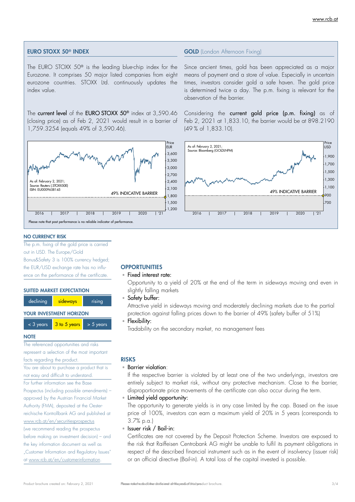#### EURO STOXX 50® INDEX

The EURO STOXX 50® is the leading blue-chip index for the Eurozone. It comprises 50 major listed companies from eight eurozone countries. STOXX Ltd. continuously updates the index value.

The current level of the EURO STOXX 50<sup>®</sup> index at 3,590.46 (closing price) as of Feb 2, 2021 would result in a barrier of 1,759.3254 (equals 49% of 3,590.46).



#### NO CURRENCY RISK

The p.m. fixing of the gold price is carried out in USD. The Europe/Gold Bonus&Safety 3 is 100% currency hedged; the EUR/USD exchange rate has no influence on the performance of the certificate.

#### SUITED MARKET EXPECTATION



 $<$  3 years  $\sqrt{3}$  to 5 years  $>$  5 years

#### **NOTE**

The referenced opportunities and risks represent a selection of the most important

facts regarding the product. You are about to purchase a product that is

not easy and difficult to understand.

```
For further information see the Base
```
Prospectus (including possible amendments) – approved by the Austrian Financial Market Authority (FMA), deposited at the Oesterreichische Kontrollbank AG and published at www.rcb.at/en/securitiesprospectus (we recommend reading the prospectus before making an investment decision) – and the key information document as well as "Customer Information and Regulatory Issues" at www.rcb.at/en/customerinformation.

# **OPPORTUNITIES**

# ▫ Fixed interest rate:

Opportunity to a yield of 20% at the end of the term in sideways moving and even in slightly falling markets

▫ Safety buffer:

Attractive yield in sideways moving and moderately declining markets due to the partial protection against falling prices down to the barrier of 49% (safety buffer of 51%)

#### ▫ Flexibility:

Tradability on the secondary market, no management fees

### RISKS

▫ Barrier violation:

If the respective barrier is violated by at least one of the two underlyings, investors are entirely subject to market risk, without any protective mechanism. Close to the barrier, disproportionate price movements of the certificate can also occur during the term.

▫ Limited yield opportunity:

The opportunity to generate yields is in any case limited by the cap. Based on the issue price of 100%, investors can earn a maximum yield of 20% in 5 years (corresponds to 3.7% p.a.)

▫ Issuer risk / Bail-in:

Certificates are not covered by the Deposit Protection Scheme. Investors are exposed to the risk that Raiffeisen Centrobank AG might be unable to fulfil its payment obligations in respect of the described financial instrument such as in the event of insolvency (issuer risk) or an official directive (Bail-in). A total loss of the capital invested is possible.

Since ancient times, gold has been appreciated as a major means of payment and a store of value. Especially in uncertain times, investors consider gold a safe haven. The gold price is determined twice a day. The p.m. fixing is relevant for the observation of the barrier.

Considering the current gold price (p.m. fixing) as of Feb 2, 2021 at 1,833.10, the barrier would be at 898.2190 (49 % of 1,833.10).